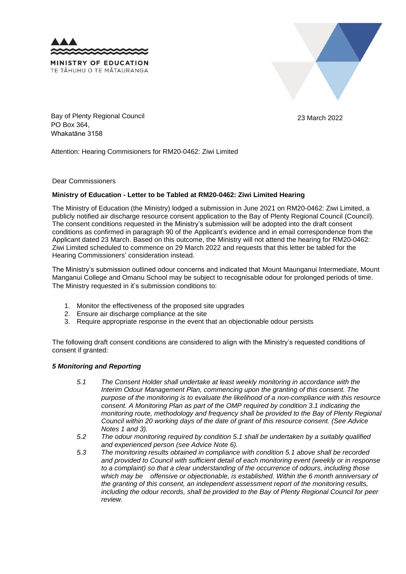

TE TĂHUHU O TE MĂTAURANGA



23 March 2022

Bay of Plenty Regional Council PO Box 364, Whakatāne 3158

Attention: Hearing Commisioners for RM20-0462: Ziwi Limited

Dear Commissioners

## **Ministry of Education - Letter to be Tabled at RM20-0462: Ziwi Limited Hearing**

The Ministry of Education (the Ministry) lodged a submission in June 2021 on RM20-0462: Ziwi Limited, a publicly notified air discharge resource consent application to the Bay of Plenty Regional Council (Council). The consent conditions requested in the Ministry's submission will be adopted into the draft consent conditions as confirmed in paragraph 90 of the Applicant's evidence and in email correspondence from the Applicant dated 23 March. Based on this outcome, the Ministry will not attend the hearing for RM20-0462: Ziwi Limited scheduled to commence on 29 March 2022 and requests that this letter be tabled for the Hearing Commissioners' consideration instead.

The Ministry's submission outlined odour concerns and indicated that Mount Maunganui Intermediate, Mount Manganui College and Omanu School may be subject to recognisable odour for prolonged periods of time. The Ministry requested in it's submission conditions to:

- 1. Monitor the effectiveness of the proposed site upgrades
- 2. Ensure air discharge compliance at the site
- 3. Require appropriate response in the event that an objectionable odour persists

The following draft consent conditions are considered to align with the Ministry's requested conditions of consent if granted:

## *5 Monitoring and Reporting*

- *5.1 The Consent Holder shall undertake at least weekly monitoring in accordance with the Interim Odour Management Plan, commencing upon the granting of this consent. The purpose of the monitoring is to evaluate the likelihood of a non-compliance with this resource consent. A Monitoring Plan as part of the OMP required by condition 3.1 indicating the monitoring route, methodology and frequency shall be provided to the Bay of Plenty Regional Council within 20 working days of the date of grant of this resource consent. (See Advice Notes 1 and 3).*
- *5.2 The odour monitoring required by condition 5.1 shall be undertaken by a suitably qualified and experienced person (see Advice Note 6).*
- *5.3 The monitoring results obtained in compliance with condition 5.1 above shall be recorded and provided to Council with sufficient detail of each monitoring event (weekly or in response to a complaint) so that a clear understanding of the occurrence of odours, including those which may be offensive or objectionable, is established. Within the 6 month anniversary of the granting of this consent, an independent assessment report of the monitoring results, including the odour records, shall be provided to the Bay of Plenty Regional Council for peer review.*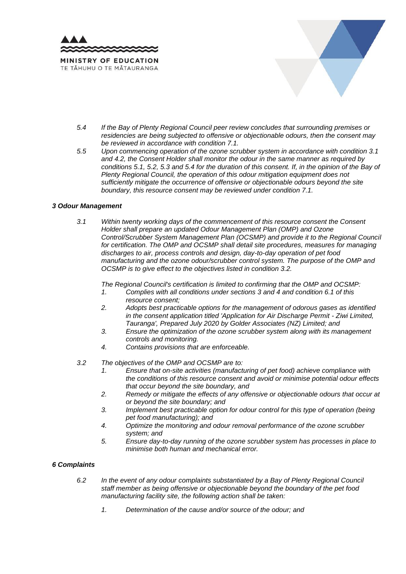



- *5.4 If the Bay of Plenty Regional Council peer review concludes that surrounding premises or residencies are being subjected to offensive or objectionable odours, then the consent may be reviewed in accordance with condition 7.1.*
- *5.5 Upon commencing operation of the ozone scrubber system in accordance with condition 3.1 and 4.2, the Consent Holder shall monitor the odour in the same manner as required by conditions 5.1, 5.2, 5.3 and 5.4 for the duration of this consent. If, in the opinion of the Bay of Plenty Regional Council, the operation of this odour mitigation equipment does not sufficiently mitigate the occurrence of offensive or objectionable odours beyond the site boundary, this resource consent may be reviewed under condition 7.1.*

## *3 Odour Management*

*3.1 Within twenty working days of the commencement of this resource consent the Consent Holder shall prepare an updated Odour Management Plan (OMP) and Ozone Control/Scrubber System Management Plan (OCSMP) and provide it to the Regional Council for certification. The OMP and OCSMP shall detail site procedures, measures for managing discharges to air, process controls and design, day-to-day operation of pet food manufacturing and the ozone odour/scrubber control system. The purpose of the OMP and OCSMP is to give effect to the objectives listed in condition 3.2.*

*The Regional Council's certification is limited to confirming that the OMP and OCSMP:*

- *1. Complies with all conditions under sections 3 and 4 and condition 6.1 of this resource consent;*
- *2. Adopts best practicable options for the management of odorous gases as identified in the consent application titled 'Application for Air Discharge Permit - Ziwi Limited, Tauranga', Prepared July 2020 by Golder Associates (NZ) Limited; and*
- *3. Ensure the optimization of the ozone scrubber system along with its management controls and monitoring.*
- *4. Contains provisions that are enforceable.*
- *3.2 The objectives of the OMP and OCSMP are to:*
	- *1. Ensure that on-site activities (manufacturing of pet food) achieve compliance with the conditions of this resource consent and avoid or minimise potential odour effects that occur beyond the site boundary, and*
	- *2. Remedy or mitigate the effects of any offensive or objectionable odours that occur at or beyond the site boundary; and*
	- *3. Implement best practicable option for odour control for this type of operation (being pet food manufacturing); and*
	- *4. Optimize the monitoring and odour removal performance of the ozone scrubber system; and*
	- *5. Ensure day-to-day running of the ozone scrubber system has processes in place to minimise both human and mechanical error.*

## *6 Complaints*

- *6.2 In the event of any odour complaints substantiated by a Bay of Plenty Regional Council staff member as being offensive or objectionable beyond the boundary of the pet food manufacturing facility site, the following action shall be taken:*
	- *1. Determination of the cause and/or source of the odour; and*